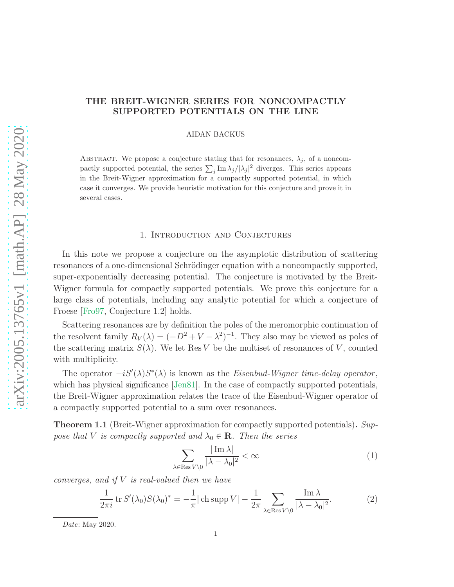# THE BREIT-WIGNER SERIES FOR NONCOMPACTLY SUPPORTED POTENTIALS ON THE LINE

AIDAN BACKUS

ABSTRACT. We propose a conjecture stating that for resonances,  $\lambda_j$ , of a noncompactly supported potential, the series  $\sum_j \text{Im }\lambda_j/|\lambda_j|^2$  diverges. This series appears in the Breit-Wigner approximation for a compactly supported potential, in which case it converges. We provide heuristic motivation for this conjecture and prove it in several cases.

#### 1. Introduction and Conjectures

In this note we propose a conjecture on the asymptotic distribution of scattering resonances of a one-dimensional Schrödinger equation with a noncompactly supported, super-exponentially decreasing potential. The conjecture is motivated by the Breit-Wigner formula for compactly supported potentials. We prove this conjecture for a large class of potentials, including any analytic potential for which a conjecture of Froese [\[Fro97,](#page-8-0) Conjecture 1.2] holds.

Scattering resonances are by definition the poles of the meromorphic continuation of the resolvent family  $R_V(\lambda) = (-D^2 + V - \lambda^2)^{-1}$ . They also may be viewed as poles of the scattering matrix  $S(\lambda)$ . We let Res V be the multiset of resonances of V, counted with multiplicity.

The operator  $-iS'(\lambda)S^*(\lambda)$  is known as the *Eisenbud-Wigner time-delay operator*, which has physical significance [\[Jen81\]](#page-8-1). In the case of compactly supported potentials, the Breit-Wigner approximation relates the trace of the Eisenbud-Wigner operator of a compactly supported potential to a sum over resonances.

**Theorem 1.1** (Breit-Wigner approximation for compactly supported potentials). Suppose that V is compactly supported and  $\lambda_0 \in \mathbf{R}$ . Then the series

<span id="page-0-0"></span>
$$
\sum_{\lambda \in \text{Res } V \setminus 0} \frac{|\operatorname{Im} \lambda|}{|\lambda - \lambda_0|^2} < \infty \tag{1}
$$

converges, and if  $V$  is real-valued then we have

<span id="page-0-1"></span>
$$
\frac{1}{2\pi i} \operatorname{tr} S'(\lambda_0) S(\lambda_0)^* = -\frac{1}{\pi} |\operatorname{ch} \operatorname{supp} V| - \frac{1}{2\pi} \sum_{\lambda \in \operatorname{Res} V \setminus 0} \frac{\operatorname{Im} \lambda}{|\lambda - \lambda_0|^2}.
$$
 (2)

Date: May 2020.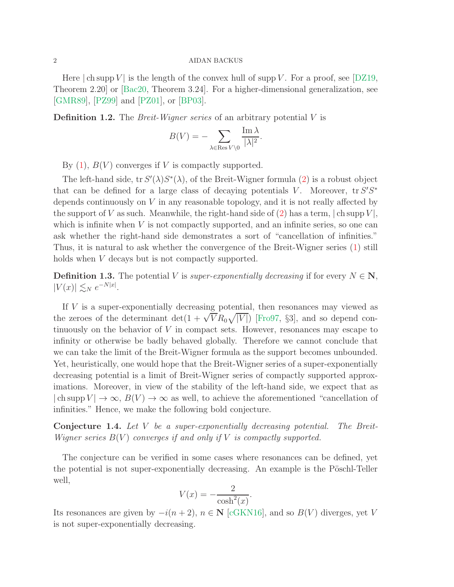### 2 AIDAN BACKUS

Here  $|\text{ch} \text{supp } V|$  is the length of the convex hull of supp V. For a proof, see [\[DZ19,](#page-8-2) Theorem 2.20] or [\[Bac20,](#page-8-3) Theorem 3.24]. For a higher-dimensional generalization, see [\[GMR89\]](#page-8-4), [\[PZ99](#page-9-0)] and [\[PZ01](#page-8-5)], or [\[BP03\]](#page-8-6).

**Definition 1.2.** The *Breit-Wigner series* of an arbitrary potential  $V$  is

$$
B(V) = -\sum_{\lambda \in \text{Res } V \setminus 0} \frac{\text{Im } \lambda}{|\lambda|^2}.
$$

By  $(1)$ ,  $B(V)$  converges if V is compactly supported.

The left-hand side,  $tr S'(\lambda)S^*(\lambda)$ , of the Breit-Wigner formula [\(2\)](#page-0-1) is a robust object that can be defined for a large class of decaying potentials V. Moreover,  $tr S'S^*$ depends continuously on V in any reasonable topology, and it is not really affected by the support of V as such. Meanwhile, the right-hand side of  $(2)$  has a term,  $| \text{ch supp } V |$ , which is infinite when  $V$  is not compactly supported, and an infinite series, so one can ask whether the right-hand side demonstrates a sort of "cancellation of infinities." Thus, it is natural to ask whether the convergence of the Breit-Wigner series [\(1\)](#page-0-0) still holds when *V* decays but is not compactly supported.

**Definition 1.3.** The potential V is *super-exponentially decreasing* if for every  $N \in \mathbb{N}$ ,  $|V(x)| \lesssim_N e^{-N|x|}.$ 

If  $V$  is a super-exponentially decreasing potential, then resonances may viewed as the zeroes of the determinant det $(1 + \sqrt{V}R_0\sqrt{|V|})$  [\[Fro97,](#page-8-0) §3], and so depend continuously on the behavior of  $V$  in compact sets. However, resonances may escape to infinity or otherwise be badly behaved globally. Therefore we cannot conclude that we can take the limit of the Breit-Wigner formula as the support becomes unbounded. Yet, heuristically, one would hope that the Breit-Wigner series of a super-exponentially decreasing potential is a limit of Breit-Wigner series of compactly supported approximations. Moreover, in view of the stability of the left-hand side, we expect that as  $|\operatorname{ch} \operatorname{supp} V| \to \infty$ ,  $B(V) \to \infty$  as well, to achieve the aforementioned "cancellation of infinities." Hence, we make the following bold conjecture.

<span id="page-1-0"></span>Conjecture 1.4. Let V be a super-exponentially decreasing potential. The Breit-Wigner series  $B(V)$  converges if and only if V is compactly supported.

The conjecture can be verified in some cases where resonances can be defined, yet the potential is not super-exponentially decreasing. An example is the Pöschl-Teller well,

$$
V(x) = -\frac{2}{\cosh^2(x)}.
$$

Its resonances are given by  $-i(n+2)$ ,  $n \in \mathbb{N}$  [\[cGKN16](#page-8-7)], and so  $B(V)$  diverges, yet V is not super-exponentially decreasing.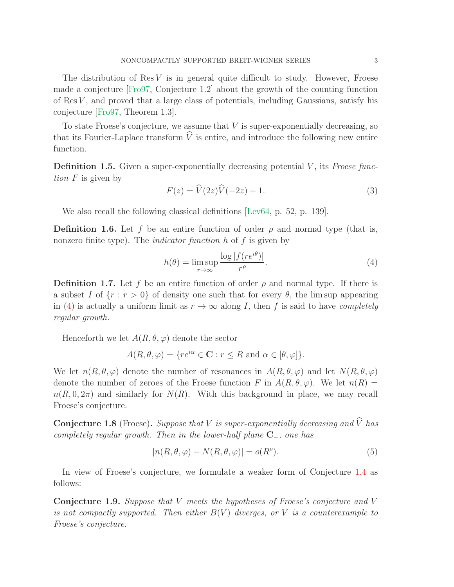The distribution of  $\text{Res } V$  is in general quite difficult to study. However, Froese made a conjecture [\[Fro97](#page-8-0), Conjecture 1.2] about the growth of the counting function of  $\text{Res } V$ , and proved that a large class of potentials, including Gaussians, satisfy his conjecture [\[Fro97](#page-8-0), Theorem 1.3].

To state Froese's conjecture, we assume that  $V$  is super-exponentially decreasing, so that its Fourier-Laplace transform  $\hat{V}$  is entire, and introduce the following new entire function.

**Definition 1.5.** Given a super-exponentially decreasing potential  $V$ , its Froese function  $F$  is given by

<span id="page-2-2"></span>
$$
F(z) = \widehat{V}(2z)\widehat{V}(-2z) + 1.
$$
\n(3)

We also recall the following classical definitions [\[Lev64,](#page-8-8) p. 52, p. 139].

**Definition 1.6.** Let f be an entire function of order  $\rho$  and normal type (that is, nonzero finite type). The *indicator function*  $h$  of  $f$  is given by

<span id="page-2-0"></span>
$$
h(\theta) = \limsup_{r \to \infty} \frac{\log |f(re^{i\theta})|}{r^{\rho}}.
$$
 (4)

<span id="page-2-1"></span>**Definition 1.7.** Let f be an entire function of order  $\rho$  and normal type. If there is a subset I of  $\{r : r > 0\}$  of density one such that for every  $\theta$ , the lim sup appearing in [\(4\)](#page-2-0) is actually a uniform limit as  $r \to \infty$  along I, then f is said to have *completely* regular growth.

Henceforth we let  $A(R, \theta, \varphi)$  denote the sector

$$
A(R, \theta, \varphi) = \{ re^{i\alpha} \in \mathbf{C} : r \le R \text{ and } \alpha \in [\theta, \varphi] \}.
$$

We let  $n(R, \theta, \varphi)$  denote the number of resonances in  $A(R, \theta, \varphi)$  and let  $N(R, \theta, \varphi)$ denote the number of zeroes of the Froese function F in  $A(R, \theta, \varphi)$ . We let  $n(R)$  =  $n(R, 0, 2\pi)$  and similarly for  $N(R)$ . With this background in place, we may recall Froese's conjecture.

**Conjecture 1.8** (Froese). Suppose that V is super-exponentially decreasing and  $\hat{V}$  has completely regular growth. Then in the lower-half plane  $C_$ , one has

$$
|n(R, \theta, \varphi) - N(R, \theta, \varphi)| = o(R^{\rho}).
$$
\n(5)

In view of Froese's conjecture, we formulate a weaker form of Conjecture [1.4](#page-1-0) as follows:

Conjecture 1.9. Suppose that V meets the hypotheses of Froese's conjecture and V is not compactly supported. Then either  $B(V)$  diverges, or V is a counterexample to Froese's conjecture.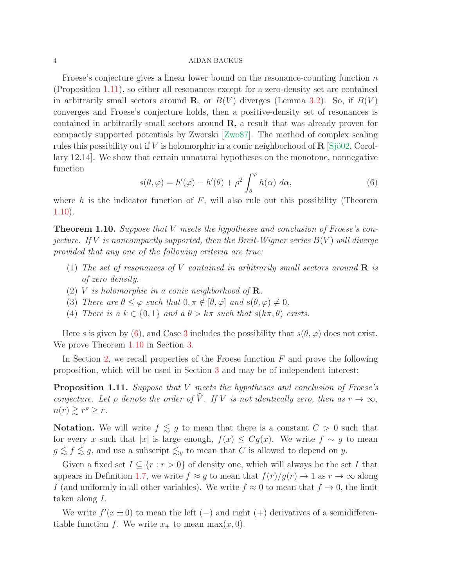### 4 AIDAN BACKUS

Froese's conjecture gives a linear lower bound on the resonance-counting function  $n$ (Proposition [1.11\)](#page-3-0), so either all resonances except for a zero-density set are contained in arbitrarily small sectors around **R**, or  $B(V)$  diverges (Lemma [3.2\)](#page-7-0). So, if  $B(V)$ converges and Froese's conjecture holds, then a positive-density set of resonances is contained in arbitrarily small sectors around R, a result that was already proven for compactly supported potentials by Zworski [\[Zwo87](#page-9-1)]. The method of complex scaling rules this possibility out if V is holomorphic in a conic neighborhood of  $\bf{R}$  [Sjö02, Corollary 12.14]. We show that certain unnatural hypotheses on the monotone, nonnegative function

<span id="page-3-2"></span>
$$
s(\theta, \varphi) = h'(\varphi) - h'(\theta) + \rho^2 \int_{\theta}^{\varphi} h(\alpha) \, d\alpha,\tag{6}
$$

where h is the indicator function of  $F$ , will also rule out this possibility (Theorem [1.10\)](#page-3-1).

<span id="page-3-1"></span>**Theorem 1.10.** Suppose that V meets the hypotheses and conclusion of Froese's conjecture. If V is noncompactly supported, then the Breit-Wigner series  $B(V)$  will diverge provided that any one of the following criteria are true:

- <span id="page-3-5"></span><span id="page-3-4"></span>(1) The set of resonances of V contained in arbitrarily small sectors around  $\bf{R}$  is of zero density.
- <span id="page-3-3"></span>(2) V is holomorphic in a conic neighborhood of  $\mathbf R$ .
- <span id="page-3-6"></span>(3) There are  $\theta \leq \varphi$  such that  $0, \pi \notin [\theta, \varphi]$  and  $s(\theta, \varphi) \neq 0$ .
- (4) There is a  $k \in \{0,1\}$  and  $a \theta > k\pi$  such that  $s(k\pi, \theta)$  exists.

Here s is given by [\(6\)](#page-3-2), and Case [3](#page-3-3) includes the possibility that  $s(\theta, \varphi)$  does not exist. We prove Theorem [1.10](#page-3-1) in Section [3.](#page-7-1)

In Section [2,](#page-4-0) we recall properties of the Froese function  $F$  and prove the following proposition, which will be used in Section [3](#page-7-1) and may be of independent interest:

<span id="page-3-0"></span>Proposition 1.11. Suppose that V meets the hypotheses and conclusion of Froese's conjecture. Let  $\rho$  denote the order of  $\hat{V}$ . If V is not identically zero, then as  $r \to \infty$ ,  $n(r) \gtrsim r^{\rho} \geq r.$ 

**Notation.** We will write  $f \leq g$  to mean that there is a constant  $C > 0$  such that for every x such that |x| is large enough,  $f(x) \leq Cg(x)$ . We write  $f \sim g$  to mean  $g \lesssim f \lesssim g$ , and use a subscript  $\lesssim_y$  to mean that C is allowed to depend on y.

Given a fixed set  $I \subseteq \{r : r > 0\}$  of density one, which will always be the set I that appears in Definition [1.7,](#page-2-1) we write  $f \approx g$  to mean that  $f(r)/g(r) \to 1$  as  $r \to \infty$  along I (and uniformly in all other variables). We write  $f \approx 0$  to mean that  $f \to 0$ , the limit taken along I.

We write  $f'(x \pm 0)$  to mean the left (-) and right (+) derivatives of a semidifferentiable function f. We write  $x_+$  to mean max $(x, 0)$ .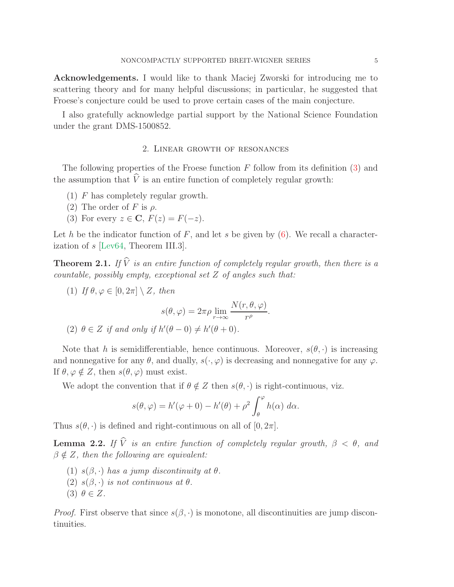Acknowledgements. I would like to thank Maciej Zworski for introducing me to scattering theory and for many helpful discussions; in particular, he suggested that Froese's conjecture could be used to prove certain cases of the main conjecture.

<span id="page-4-0"></span>I also gratefully acknowledge partial support by the National Science Foundation under the grant DMS-1500852.

### 2. Linear growth of resonances

The following properties of the Froese function  $F$  follow from its definition  $(3)$  and the assumption that  $\hat{V}$  is an entire function of completely regular growth:

- (1) F has completely regular growth.
- (2) The order of F is  $\rho$ .
- (3) For every  $z \in \mathbf{C}$ ,  $F(z) = F(-z)$ .

Let h be the indicator function of F, and let s be given by  $(6)$ . We recall a characterization of s [\[Lev64,](#page-8-8) Theorem III.3].

<span id="page-4-1"></span>**Theorem 2.1.** If  $\widehat{V}$  is an entire function of completely regular growth, then there is a countable, possibly empty, exceptional set  $Z$  of angles such that:

(1) If  $\theta, \varphi \in [0, 2\pi] \setminus Z$ , then  $s(\theta, \varphi) = 2\pi\rho \lim_{r \to \infty}$  $N(r, \theta, \varphi)$  $\frac{\rho(\rho)}{r^{\rho}}$ . (2)  $\theta \in Z$  if and only if  $h'(\theta - 0) \neq h'(\theta + 0)$ .

Note that h is semidifferentiable, hence continuous. Moreover,  $s(\theta, \cdot)$  is increasing and nonnegative for any  $\theta$ , and dually,  $s(\cdot, \varphi)$  is decreasing and nonnegative for any  $\varphi$ . If  $\theta, \varphi \notin Z$ , then  $s(\theta, \varphi)$  must exist.

We adopt the convention that if  $\theta \notin Z$  then  $s(\theta, \cdot)$  is right-continuous, viz.

$$
s(\theta, \varphi) = h'(\varphi + 0) - h'(\theta) + \rho^2 \int_{\theta}^{\varphi} h(\alpha) \, d\alpha.
$$

Thus  $s(\theta, \cdot)$  is defined and right-continuous on all of  $[0, 2\pi]$ .

<span id="page-4-2"></span>**Lemma 2.2.** If  $\hat{V}$  is an entire function of completely regular growth,  $\beta < \theta$ , and  $\beta \notin \mathbb{Z}$ , then the following are equivalent:

- (1)  $s(\beta, \cdot)$  has a jump discontinuity at  $\theta$ .
- (2)  $s(\beta, \cdot)$  is not continuous at  $\theta$ .
- (3)  $\theta \in Z$ .

*Proof.* First observe that since  $s(\beta, \cdot)$  is monotone, all discontinuities are jump discontinuities.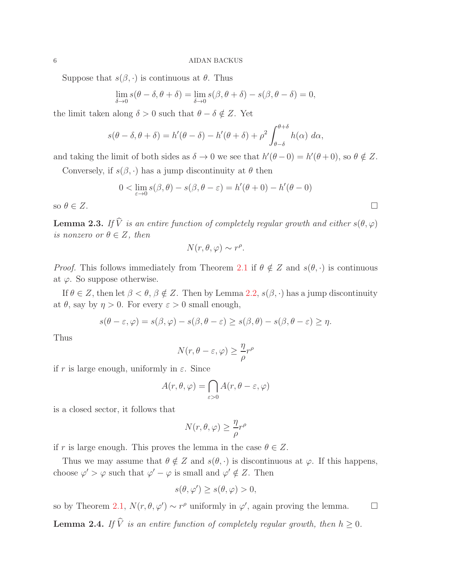Suppose that  $s(\beta, \cdot)$  is continuous at  $\theta$ . Thus

$$
\lim_{\delta \to 0} s(\theta - \delta, \theta + \delta) = \lim_{\delta \to 0} s(\beta, \theta + \delta) - s(\beta, \theta - \delta) = 0,
$$

the limit taken along  $\delta > 0$  such that  $\theta - \delta \notin Z$ . Yet

$$
s(\theta - \delta, \theta + \delta) = h'(\theta - \delta) - h'(\theta + \delta) + \rho^2 \int_{\theta - \delta}^{\theta + \delta} h(\alpha) \, d\alpha,
$$

and taking the limit of both sides as  $\delta \to 0$  we see that  $h'(\theta - 0) = h'(\theta + 0)$ , so  $\theta \notin Z$ .

Conversely, if  $s(\beta, \cdot)$  has a jump discontinuity at  $\theta$  then

$$
0 < \lim_{\varepsilon \to 0} s(\beta, \theta) - s(\beta, \theta - \varepsilon) = h'(\theta + 0) - h'(\theta - 0)
$$

so  $\theta \in Z$ .

<span id="page-5-0"></span>**Lemma 2.3.** If  $\widehat{V}$  is an entire function of completely regular growth and either  $s(\theta, \varphi)$ is nonzero or  $\theta \in Z$ , then

$$
N(r, \theta, \varphi) \sim r^{\rho}.
$$

*Proof.* This follows immediately from Theorem [2.1](#page-4-1) if  $\theta \notin Z$  and  $s(\theta, \cdot)$  is continuous at  $\varphi$ . So suppose otherwise.

If  $\theta \in \mathbb{Z}$ , then let  $\beta < \theta$ ,  $\beta \notin \mathbb{Z}$ . Then by Lemma [2.2,](#page-4-2)  $s(\beta, \cdot)$  has a jump discontinuity at  $\theta$ , say by  $\eta > 0$ . For every  $\varepsilon > 0$  small enough,

$$
s(\theta - \varepsilon, \varphi) = s(\beta, \varphi) - s(\beta, \theta - \varepsilon) \ge s(\beta, \theta) - s(\beta, \theta - \varepsilon) \ge \eta.
$$

Thus

$$
N(r, \theta - \varepsilon, \varphi) \ge \frac{\eta}{\rho} r^{\rho}
$$

if r is large enough, uniformly in  $\varepsilon$ . Since

$$
A(r, \theta, \varphi) = \bigcap_{\varepsilon > 0} A(r, \theta - \varepsilon, \varphi)
$$

is a closed sector, it follows that

$$
N(r, \theta, \varphi) \ge \frac{\eta}{\rho} r^{\rho}
$$

if r is large enough. This proves the lemma in the case  $\theta \in \mathbb{Z}$ .

Thus we may assume that  $\theta \notin Z$  and  $s(\theta, \cdot)$  is discontinuous at  $\varphi$ . If this happens, choose  $\varphi' > \varphi$  such that  $\varphi' - \varphi$  is small and  $\varphi' \notin Z$ . Then

$$
s(\theta, \varphi') \ge s(\theta, \varphi) > 0,
$$

<span id="page-5-1"></span>so by Theorem [2.1,](#page-4-1)  $N(r, \theta, \varphi') \sim r^{\rho}$  uniformly in  $\varphi'$ , again proving the lemma.  $\square$ **Lemma 2.4.** If  $\hat{V}$  is an entire function of completely regular growth, then  $h \geq 0$ .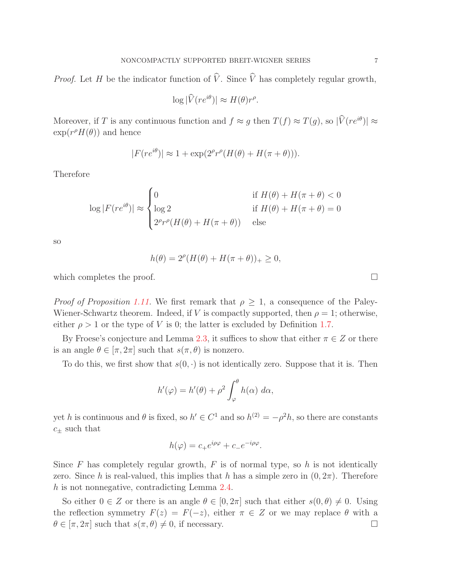*Proof.* Let H be the indicator function of  $\hat{V}$ . Since  $\hat{V}$  has completely regular growth,

$$
\log|\widehat{V}(re^{i\theta})| \approx H(\theta)r^{\rho}.
$$

Moreover, if T is any continuous function and  $f \approx g$  then  $T(f) \approx T(g)$ , so  $|\hat{V}(re^{i\theta})| \approx$  $\exp(r^{\rho}H(\theta))$  and hence

$$
|F(re^{i\theta})| \approx 1 + \exp(2^{\rho}r^{\rho}(H(\theta) + H(\pi + \theta))).
$$

Therefore

$$
\log|F(re^{i\theta})| \approx \begin{cases} 0 & \text{if } H(\theta) + H(\pi + \theta) < 0 \\ \log 2 & \text{if } H(\theta) + H(\pi + \theta) = 0 \\ 2^{\rho}r^{\rho}(H(\theta) + H(\pi + \theta)) & \text{else} \end{cases}
$$

so

$$
h(\theta) = 2^{\rho} (H(\theta) + H(\pi + \theta))_{+} \ge 0,
$$

which completes the proof.  $\Box$ 

*Proof of Proposition [1.11.](#page-3-0)* We first remark that  $\rho \geq 1$ , a consequence of the Paley-Wiener-Schwartz theorem. Indeed, if V is compactly supported, then  $\rho = 1$ ; otherwise, either  $\rho > 1$  or the type of V is 0; the latter is excluded by Definition [1.7.](#page-2-1)

By Froese's conjecture and Lemma [2.3,](#page-5-0) it suffices to show that either  $\pi \in \mathbb{Z}$  or there is an angle  $\theta \in [\pi, 2\pi]$  such that  $s(\pi, \theta)$  is nonzero.

To do this, we first show that  $s(0, \cdot)$  is not identically zero. Suppose that it is. Then

$$
h'(\varphi) = h'(\theta) + \rho^2 \int_{\varphi}^{\theta} h(\alpha) \, d\alpha,
$$

yet h is continuous and  $\theta$  is fixed, so  $h' \in C^1$  and so  $h^{(2)} = -\rho^2 h$ , so there are constants  $c_{\pm}$  such that

$$
h(\varphi) = c_+ e^{i\rho\varphi} + c_- e^{-i\rho\varphi}.
$$

Since  $F$  has completely regular growth,  $F$  is of normal type, so  $h$  is not identically zero. Since h is real-valued, this implies that h has a simple zero in  $(0, 2\pi)$ . Therefore h is not nonnegative, contradicting Lemma [2.4.](#page-5-1)

So either  $0 \in Z$  or there is an angle  $\theta \in [0, 2\pi]$  such that either  $s(0, \theta) \neq 0$ . Using the reflection symmetry  $F(z) = F(-z)$ , either  $\pi \in Z$  or we may replace  $\theta$  with a  $\theta \in [\pi, 2\pi]$  such that  $s(\pi, \theta) \neq 0$ , if necessary.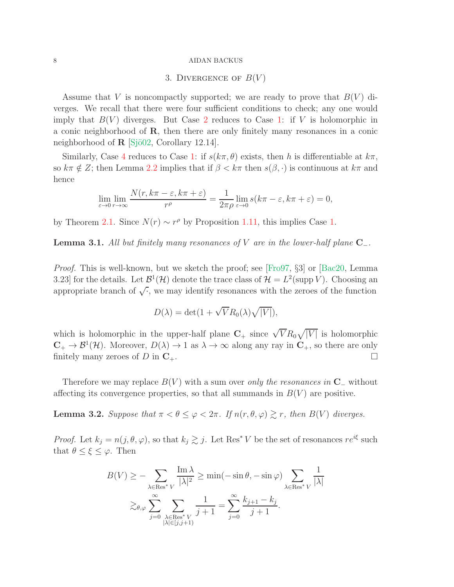#### <span id="page-7-1"></span>8 AIDAN BACKUS

### 3. DIVERGENCE OF  $B(V)$

Assume that V is noncompactly supported; we are ready to prove that  $B(V)$  diverges. We recall that there were four sufficient conditions to check; any one would imply that  $B(V)$  diverges. But Case [2](#page-3-4) reduces to Case [1:](#page-3-5) if V is holomorphic in a conic neighborhood of R, then there are only finitely many resonances in a conic neighborhood of  $\mathbf{R}$  [Sjö02, Corollary 12.14].

Similarly, Case [4](#page-3-6) reduces to Case [1:](#page-3-5) if  $s(k\pi, \theta)$  exists, then h is differentiable at  $k\pi$ , so  $k\pi \notin Z$ ; then Lemma [2.2](#page-4-2) implies that if  $\beta < k\pi$  then  $s(\beta, \cdot)$  is continuous at  $k\pi$  and hence

$$
\lim_{\varepsilon \to 0} \lim_{r \to \infty} \frac{N(r, k\pi - \varepsilon, k\pi + \varepsilon)}{r^{\rho}} = \frac{1}{2\pi \rho} \lim_{\varepsilon \to 0} s(k\pi - \varepsilon, k\pi + \varepsilon) = 0,
$$

by Theorem [2.1.](#page-4-1) Since  $N(r) \sim r^{\rho}$  by Proposition [1.11,](#page-3-0) this implies Case [1.](#page-3-5)

**Lemma 3.1.** All but finitely many resonances of V are in the lower-half plane  $C_-\$ .

Proof. This is well-known, but we sketch the proof; see [\[Fro97](#page-8-0), §3] or [\[Bac20,](#page-8-3) Lemma 3.23] for the details. Let  $\mathcal{B}^1(\mathcal{H})$  denote the trace class of  $\mathcal{H} = L^2(\text{supp }V)$ . Choosing an appropriate branch of  $\sqrt{\cdot}$ , we may identify resonances with the zeroes of the function

$$
D(\lambda) = \det(1 + \sqrt{V}R_0(\lambda)\sqrt{|V|}),
$$

which is holomorphic in the upper-half plane  $C_+$  since  $\sqrt{V}R_0\sqrt{|V|}$  is holomorphic  $\mathbb{C}_+ \to \mathcal{B}^1(\mathcal{H})$ . Moreover,  $D(\lambda) \to 1$  as  $\lambda \to \infty$  along any ray in  $\mathbb{C}_+$ , so there are only finitely many zeroes of D in  $\mathbf{C}_+$ .

Therefore we may replace  $B(V)$  with a sum over only the resonances in C<sub>−</sub> without affecting its convergence properties, so that all summands in  $B(V)$  are positive.

<span id="page-7-0"></span>**Lemma 3.2.** Suppose that  $\pi < \theta \leq \varphi < 2\pi$ . If  $n(r, \theta, \varphi) \geq r$ , then  $B(V)$  diverges.

*Proof.* Let  $k_j = n(j, \theta, \varphi)$ , so that  $k_j \gtrsim j$ . Let Res<sup>\*</sup> V be the set of resonances  $re^{i\xi}$  such that  $\theta \leq \xi \leq \varphi$ . Then

$$
B(V) \ge -\sum_{\substack{\lambda \in \text{Res}^* V \\ \lambda \neq 0}} \frac{\text{Im}\,\lambda}{|\lambda|^2} \ge \min(-\sin\theta, -\sin\varphi) \sum_{\substack{\lambda \in \text{Res}^* V \\ \lambda \in \text{Res}^* V}} \frac{1}{|\lambda|}
$$

$$
\gtrsim_{\theta,\varphi} \sum_{j=0}^{\infty} \sum_{\substack{\lambda \in \text{Res}^* V \\ |\lambda| \in [j,j+1)}} \frac{1}{j+1} = \sum_{j=0}^{\infty} \frac{k_{j+1} - k_j}{j+1}.
$$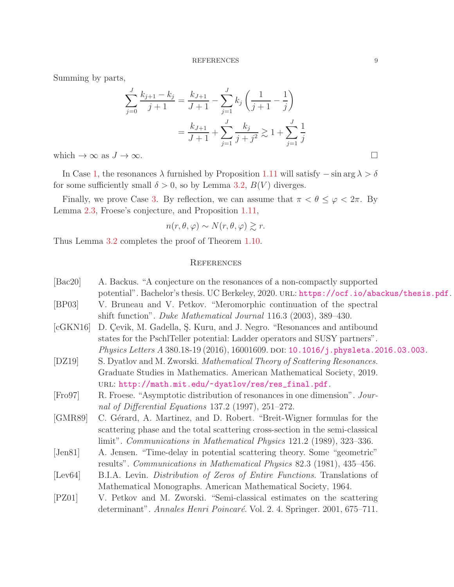Summing by parts,

$$
\sum_{j=0}^{J} \frac{k_{j+1} - k_j}{j+1} = \frac{k_{J+1}}{J+1} - \sum_{j=1}^{J} k_j \left( \frac{1}{j+1} - \frac{1}{j} \right)
$$

$$
= \frac{k_{J+1}}{J+1} + \sum_{j=1}^{J} \frac{k_j}{j+j^2} \gtrsim 1 + \sum_{j=1}^{J} \frac{1}{j}
$$

which  $\rightarrow \infty$  as  $J \rightarrow \infty$ .

In Case [1,](#page-3-5) the resonances  $\lambda$  furnished by Proposition [1.11](#page-3-0) will satisfy  $-\sin \arg \lambda > \delta$ for some sufficiently small  $\delta > 0$ , so by Lemma [3.2,](#page-7-0)  $B(V)$  diverges.

Finally, we prove Case [3.](#page-3-3) By reflection, we can assume that  $\pi < \theta \leq \varphi < 2\pi$ . By Lemma [2.3,](#page-5-0) Froese's conjecture, and Proposition [1.11,](#page-3-0)

$$
n(r, \theta, \varphi) \sim N(r, \theta, \varphi) \gtrsim r.
$$

Thus Lemma [3.2](#page-7-0) completes the proof of Theorem [1.10.](#page-3-1)

## **REFERENCES**

<span id="page-8-8"></span><span id="page-8-7"></span><span id="page-8-6"></span><span id="page-8-5"></span><span id="page-8-4"></span><span id="page-8-3"></span><span id="page-8-2"></span><span id="page-8-1"></span><span id="page-8-0"></span>

| $\left[\text{Bac20}\right]$ | A. Backus. "A conjecture on the resonances of a non-compactly supported                   |
|-----------------------------|-------------------------------------------------------------------------------------------|
|                             | potential". Bachelor's thesis. UC Berkeley, 2020. URL: https://ocf.io/abackus/thesis.pdf. |
| [BP03]                      | V. Bruneau and V. Petkov. "Meromorphic continuation of the spectral                       |
|                             | shift function". Duke Mathematical Journal 116.3 (2003), 389–430.                         |
| [cGKN16]                    | D. Çevik, M. Gadella, Ş. Kuru, and J. Negro. "Resonances and antibound                    |
|                             | states for the PschlTeller potential: Ladder operators and SUSY partners".                |
|                             | Physics Letters A 380.18-19 (2016), 16001609. DOI: 10.1016/j.physleta.2016.03.003.        |
| [DZ19]                      | S. Dyatlov and M. Zworski. <i>Mathematical Theory of Scattering Resonances</i> .          |
|                             | Graduate Studies in Mathematics. American Mathematical Society, 2019.                     |
|                             | URL: http://math.mit.edu/~dyatlov/res/res_final.pdf.                                      |
| [Fe 97]                     | R. Froese. "Asymptotic distribution of resonances in one dimension". Jour-                |
|                             | nal of Differential Equations 137.2 (1997), $251-272$ .                                   |
| [GMR89]                     | C. Gérard, A. Martinez, and D. Robert. "Breit-Wigner formulas for the                     |
|                             | scattering phase and the total scattering cross-section in the semi-classical             |
|                             | limit". Communications in Mathematical Physics 121.2 (1989), 323–336.                     |
| $\left[$ Jen $\frac{81}{ }$ | A. Jensen. "Time-delay in potential scattering theory. Some "geometric"                   |
|                             | results". Communications in Mathematical Physics 82.3 (1981), 435–456.                    |
| [Lev64]                     | B.I.A. Levin. Distribution of Zeros of Entire Functions. Translations of                  |
|                             | Mathematical Monographs. American Mathematical Society, 1964.                             |
| $[$ PZ01 $]$                | V. Petkov and M. Zworski. "Semi-classical estimates on the scattering                     |
|                             | determinant". Annales Henri Poincaré. Vol. 2. 4. Springer. 2001, 675–711.                 |